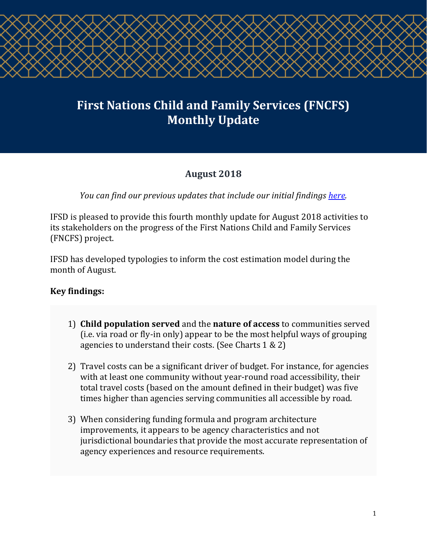

# **First Nations Child and Family Services (FNCFS) Monthly Update**

# **August 2018**

*You can find our previous updates that include our initial findings [here.](http://ifsd.ca/en/monthly-updates)*

IFSD is pleased to provide this fourth monthly update for August 2018 activities to its stakeholders on the progress of the First Nations Child and Family Services (FNCFS) project.

IFSD has developed typologies to inform the cost estimation model during the month of August.

## **Key findings:**

- 1) **Child population served** and the **nature of access** to communities served (i.e. via road or fly-in only) appear to be the most helpful ways of grouping agencies to understand their costs. (See Charts 1 & 2)
- 2) Travel costs can be a significant driver of budget. For instance, for agencies with at least one community without year-round road accessibility, their total travel costs (based on the amount defined in their budget) was five times higher than agencies serving communities all accessible by road.
- 3) When considering funding formula and program architecture improvements, it appears to be agency characteristics and not jurisdictional boundaries that provide the most accurate representation of agency experiences and resource requirements.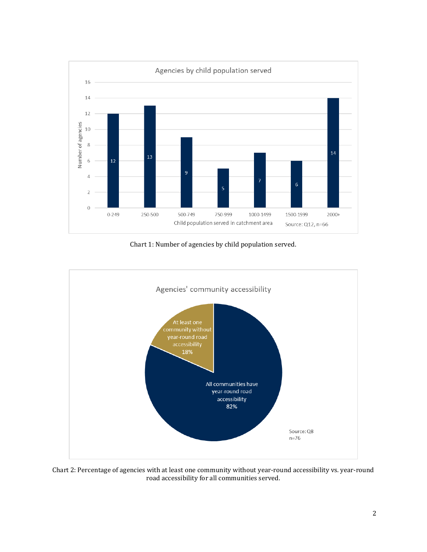

Chart 1: Number of agencies by child population served.



Chart 2: Percentage of agencies with at least one community without year-round accessibility vs. year-round road accessibility for all communities served.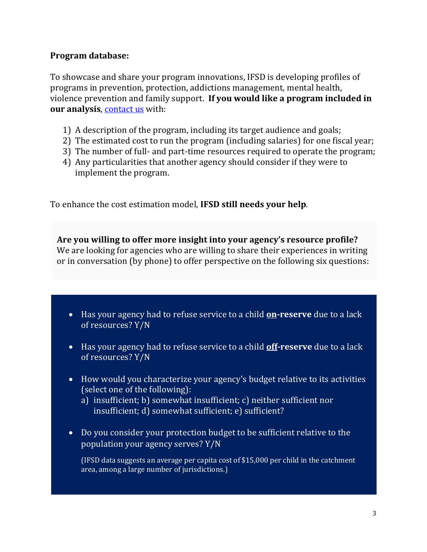#### **Program database:**

To showcase and share your program innovations, IFSD is developing profiles of programs in prevention, protection, addictions management, mental health, violence prevention and family support. **If you would like a program included in our analysis, [contact us](mailto:helaina.gaspard@ifsd.ca) with:** 

- 1) A description of the program, including its target audience and goals;
- 2) The estimated cost to run the program (including salaries) for one fiscal year;
- 3) The number of full- and part-time resources required to operate the program;
- 4) Any particularities that another agency should consider if they were to implement the program.

To enhance the cost estimation model, **IFSD still needs your help**.

**Are you willing to offer more insight into your agency's resource profile?** We are looking for agencies who are willing to share their experiences in writing or in conversation (by phone) to offer perspective on the following six questions:

- Has your agency had to refuse service to a child **on-reserve** due to a lack of resources? Y/N
- Has your agency had to refuse service to a child **off-reserve** due to a lack of resources? Y/N
- How would you characterize your agency's budget relative to its activities (select one of the following):
	- a) insufficient; b) somewhat insufficient; c) neither sufficient nor insufficient; d) somewhat sufficient; e) sufficient?
- Do you consider your protection budget to be sufficient relative to the population your agency serves? Y/N

(IFSD data suggests an average per capita cost of \$15,000 per child in the catchment area, among a large number of jurisdictions.)